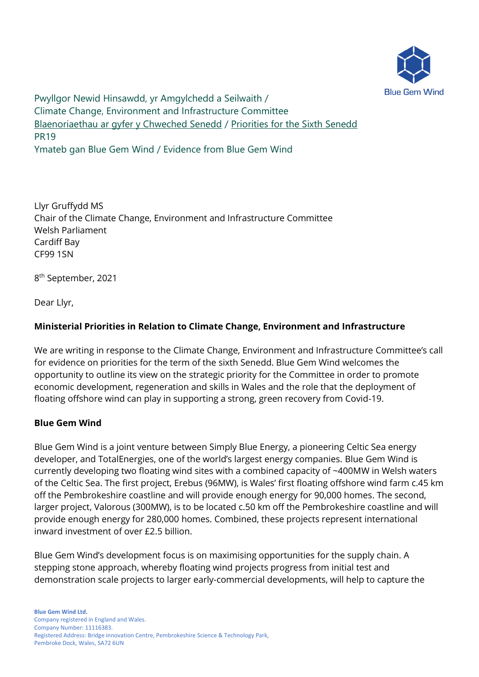

Pwyllgor Newid Hinsawdd, yr Amgylchedd a Seilwaith / Climate Change, Environment and Infrastructure Committee [Blaenoriaethau ar gyfer y Chweched Senedd](https://busnes.senedd.cymru/mgConsultationDisplay.aspx?id=427&RPID=1026452002&cp=yes) / [Priorities for the Sixth Senedd](https://business.senedd.wales/mgConsultationDisplay.aspx?id=427&RPID=1026452002&cp=yes) PR19 Ymateb gan Blue Gem Wind / Evidence from Blue Gem Wind

Llyr Gruffydd MS Chair of the Climate Change, Environment and Infrastructure Committee Welsh Parliament Cardiff Bay CF99 1SN

8 th September, 2021

Dear Llyr,

# **Ministerial Priorities in Relation to Climate Change, Environment and Infrastructure**

We are writing in response to the Climate Change, Environment and Infrastructure Committee's call for evidence on priorities for the term of the sixth Senedd. Blue Gem Wind welcomes the opportunity to outline its view on the strategic priority for the Committee in order to promote economic development, regeneration and skills in Wales and the role that the deployment of floating offshore wind can play in supporting a strong, green recovery from Covid-19.

## **Blue Gem Wind**

Blue Gem Wind is a joint venture between Simply Blue Energy, a pioneering Celtic Sea energy developer, and TotalEnergies, one of the world's largest energy companies. Blue Gem Wind is currently developing two floating wind sites with a combined capacity of ~400MW in Welsh waters of the Celtic Sea. The first project, Erebus (96MW), is Wales' first floating offshore wind farm c.45 km off the Pembrokeshire coastline and will provide enough energy for 90,000 homes. The second, larger project, Valorous (300MW), is to be located c.50 km off the Pembrokeshire coastline and will provide enough energy for 280,000 homes. Combined, these projects represent international inward investment of over £2.5 billion.

Blue Gem Wind's development focus is on maximising opportunities for the supply chain. A stepping stone approach, whereby floating wind projects progress from initial test and demonstration scale projects to larger early-commercial developments, will help to capture the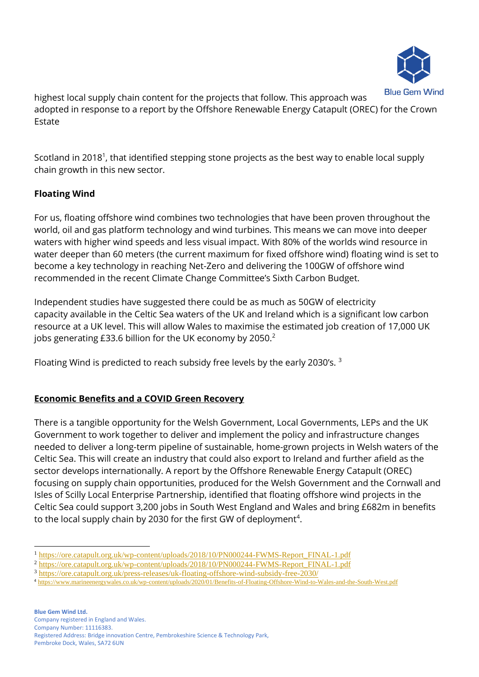

highest local supply chain content for the projects that follow. This approach was adopted in response to a report by the Offshore Renewable Energy Catapult (OREC) for the Crown Estate

Scotland in 2018<sup>1</sup>, that identified stepping stone projects as the best way to enable local supply chain growth in this new sector.

# **Floating Wind**

For us, floating offshore wind combines two technologies that have been proven throughout the world, oil and gas platform technology and wind turbines. This means we can move into deeper waters with higher wind speeds and less visual impact. With 80% of the worlds wind resource in water deeper than 60 meters (the current maximum for fixed offshore wind) floating wind is set to become a key technology in reaching Net-Zero and delivering the 100GW of offshore wind recommended in the recent Climate Change Committee's Sixth Carbon Budget.

Independent studies have suggested there could be as much as 50GW of electricity capacity available in the Celtic Sea waters of the UK and Ireland which is a significant low carbon resource at a UK level. This will allow Wales to maximise the estimated job creation of 17,000 UK jobs generating £33.6 billion for the UK economy by 2050.<sup>2</sup>

Floating Wind is predicted to reach subsidy free levels by the early 2030's. <sup>3</sup>

# **Economic Benefits and a COVID Green Recovery**

There is a tangible opportunity for the Welsh Government, Local Governments, LEPs and the UK Government to work together to deliver and implement the policy and infrastructure changes needed to deliver a long-term pipeline of sustainable, home-grown projects in Welsh waters of the Celtic Sea. This will create an industry that could also export to Ireland and further afield as the sector develops internationally. A report by the Offshore Renewable Energy Catapult (OREC) focusing on supply chain opportunities, produced for the Welsh Government and the Cornwall and Isles of Scilly Local Enterprise Partnership, identified that floating offshore wind projects in the Celtic Sea could support 3,200 jobs in South West England and Wales and bring £682m in benefits to the local supply chain by 2030 for the first GW of deployment<sup>4</sup>.

<sup>&</sup>lt;sup>1</sup> [https://ore.catapult.org.uk/wp-content/uploads/2018/10/PN000244-FWMS-Report\\_FINAL-1.pdf](https://ore.catapult.org.uk/wp-content/uploads/2018/10/PN000244-FWMS-Report_FINAL-1.pdf)

<sup>2</sup> [https://ore.catapult.org.uk/wp-content/uploads/2018/10/PN000244-FWMS-Report\\_FINAL-1.pdf](https://ore.catapult.org.uk/wp-content/uploads/2018/10/PN000244-FWMS-Report_FINAL-1.pdf)

<sup>3</sup> <https://ore.catapult.org.uk/press-releases/uk-floating-offshore-wind-subsidy-free-2030/>

<sup>4</sup> <https://www.marineenergywales.co.uk/wp-content/uploads/2020/01/Benefits-of-Floating-Offshore-Wind-to-Wales-and-the-South-West.pdf>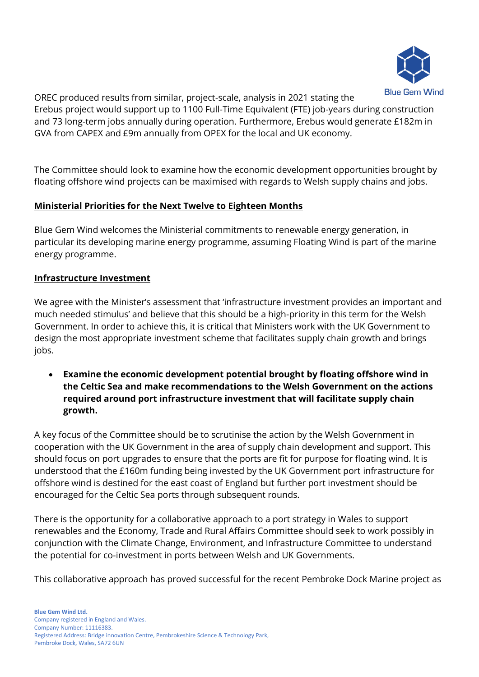

OREC produced results from similar, project-scale, analysis in 2021 stating the Erebus project would support up to 1100 Full-Time Equivalent (FTE) job-years during construction and 73 long-term jobs annually during operation. Furthermore, Erebus would generate £182m in GVA from CAPEX and £9m annually from OPEX for the local and UK economy.

The Committee should look to examine how the economic development opportunities brought by floating offshore wind projects can be maximised with regards to Welsh supply chains and jobs.

#### **Ministerial Priorities for the Next Twelve to Eighteen Months**

Blue Gem Wind welcomes the Ministerial commitments to renewable energy generation, in particular its developing marine energy programme, assuming Floating Wind is part of the marine energy programme.

#### **Infrastructure Investment**

We agree with the Minister's assessment that 'infrastructure investment provides an important and much needed stimulus' and believe that this should be a high-priority in this term for the Welsh Government. In order to achieve this, it is critical that Ministers work with the UK Government to design the most appropriate investment scheme that facilitates supply chain growth and brings jobs.

• **Examine the economic development potential brought by floating offshore wind in the Celtic Sea and make recommendations to the Welsh Government on the actions required around port infrastructure investment that will facilitate supply chain growth.**

A key focus of the Committee should be to scrutinise the action by the Welsh Government in cooperation with the UK Government in the area of supply chain development and support. This should focus on port upgrades to ensure that the ports are fit for purpose for floating wind. It is understood that the £160m funding being invested by the UK Government port infrastructure for offshore wind is destined for the east coast of England but further port investment should be encouraged for the Celtic Sea ports through subsequent rounds.

There is the opportunity for a collaborative approach to a port strategy in Wales to support renewables and the Economy, Trade and Rural Affairs Committee should seek to work possibly in conjunction with the Climate Change, Environment, and Infrastructure Committee to understand the potential for co-investment in ports between Welsh and UK Governments.

This collaborative approach has proved successful for the recent Pembroke Dock Marine project as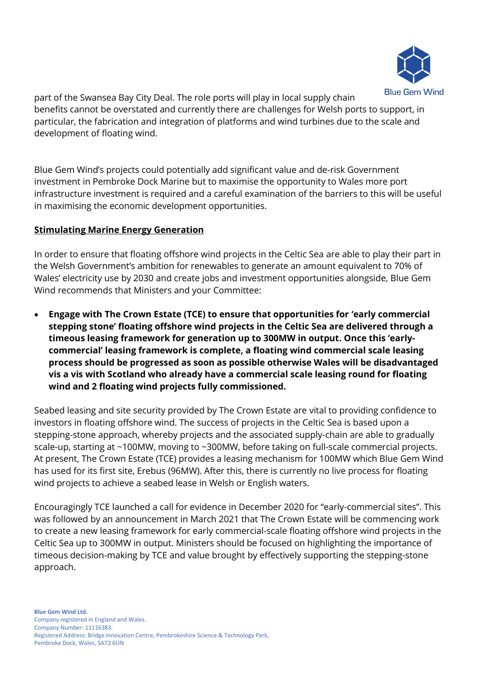

part of the Swansea Bay City Deal. The role ports will play in local supply chain benefits cannot be overstated and currently there are challenges for Welsh ports to support, in particular, the fabrication and integration of platforms and wind turbines due to the scale and development of floating wind.

Blue Gem Wind's projects could potentially add significant value and de-risk Government investment in Pembroke Dock Marine but to maximise the opportunity to Wales more port infrastructure investment is required and a careful examination of the barriers to this will be useful in maximising the economic development opportunities.

## **Stimulating Marine Energy Generation**

In order to ensure that floating offshore wind projects in the Celtic Sea are able to play their part in the Welsh Government's ambition for renewables to generate an amount equivalent to 70% of Wales' electricity use by 2030 and create jobs and investment opportunities alongside, Blue Gem Wind recommends that Ministers and your Committee:

• **Engage with The Crown Estate (TCE) to ensure that opportunities for 'early commercial stepping stone' floating offshore wind projects in the Celtic Sea are delivered through a timeous leasing framework for generation up to 300MW in output. Once this 'earlycommercial' leasing framework is complete, a floating wind commercial scale leasing process should be progressed as soon as possible otherwise Wales will be disadvantaged vis a vis with Scotland who already have a commercial scale leasing round for floating wind and 2 floating wind projects fully commissioned.** 

Seabed leasing and site security provided by The Crown Estate are vital to providing confidence to investors in floating offshore wind. The success of projects in the Celtic Sea is based upon a stepping-stone approach, whereby projects and the associated supply-chain are able to gradually scale-up, starting at ~100MW, moving to ~300MW, before taking on full-scale commercial projects. At present, The Crown Estate (TCE) provides a leasing mechanism for 100MW which Blue Gem Wind has used for its first site, Erebus (96MW). After this, there is currently no live process for floating wind projects to achieve a seabed lease in Welsh or English waters.

Encouragingly TCE launched a call for evidence in December 2020 for "early-commercial sites". This was followed by an announcement in March 2021 that The Crown Estate will be commencing work to create a new leasing framework for early commercial-scale floating offshore wind projects in the Celtic Sea up to 300MW in output. Ministers should be focused on highlighting the importance of timeous decision-making by TCE and value brought by effectively supporting the stepping-stone approach.